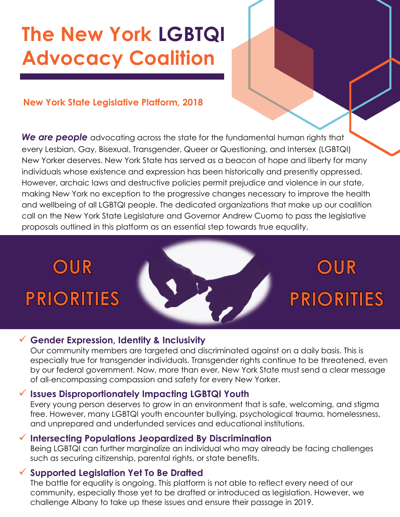# **The New York LGBTQI Advocacy Coalition**

### **New York State Legislative Platform, 2018**

**We are people** advocating across the state for the fundamental human rights that every Lesbian, Gay, Bisexual, Transgender, Queer or Questioning, and Intersex (LGBTQI) New Yorker deserves. New York State has served as a beacon of hope and liberty for many individuals whose existence and expression has been historically and presently oppressed. However, archaic laws and destructive policies permit prejudice and violence in our state, making New York no exception to the progressive changes necessary to improve the health and wellbeing of all LGBTQI people. The dedicated organizations that make up our coalition call on the New York State Legislature and Governor Andrew Cuomo to pass the legislative proposals outlined in this platform as an essential step towards true equality.

#### **Gender Expression, Identity & Inclusivity**

OUR

**PRIORITIES** 

Our community members are targeted and discriminated against on a daily basis. This is especially true for transgender individuals. Transgender rights continue to be threatened, even by our federal government. Now, more than ever, New York State must send a clear message of all-encompassing compassion and safety for every New Yorker.

OUR

**PRIORITIES** 

#### **Issues Disproportionately Impacting LGBTQI Youth**

Every young person deserves to grow in an environment that is safe, welcoming, and stigma free. However, many LGBTQI youth encounter bullying, psychological trauma, homelessness, and unprepared and underfunded services and educational institutions.

#### **Intersecting Populations Jeopardized By Discrimination**

Being LGBTQI can further marginalize an individual who may already be facing challenges such as securing citizenship, parental rights, or state benefits.

#### **Supported Legislation Yet To Be Drafted**

The battle for equality is ongoing. This platform is not able to reflect every need of our community, especially those yet to be drafted or introduced as legislation. However, we challenge Albany to take up these issues and ensure their passage in 2019.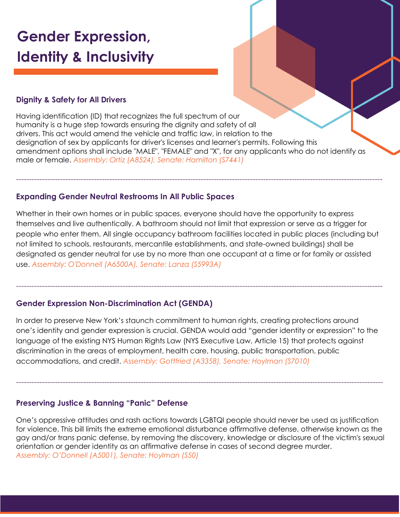### **Gender Expression, Identity & Inclusivity**

#### **Dignity & Safety for All Drivers**

Having identification (ID) that recognizes the full spectrum of our humanity is a huge step towards ensuring the dignity and safety of all drivers. This act would amend the vehicle and traffic law, in relation to the designation of sex by applicants for driver's licenses and learner's permits. Following this amendment options shall include "MALE", "FEMALE" and "X", for any applicants who do not identify as male or female. *Assembly: Ortiz (A8524), Senate: Hamilton (S7441)*

#### **Expanding Gender Neutral Restrooms In All Public Spaces**

Whether in their own homes or in public spaces, everyone should have the opportunity to express themselves and live authentically. A bathroom should not limit that expression or serve as a trigger for people who enter them. All single occupancy bathroom facilities located in public places (including but not limited to schools, restaurants, mercantile establishments, and state-owned buildings) shall be designated as gender neutral for use by no more than one occupant at a time or for family or assisted use. *Assembly: O'Donnell (A6500A), Senate: Lanza (S5993A)*

---------------------------------------------------------------------------------------------------------------------------------------------

---------------------------------------------------------------------------------------------------------------------------------------------

#### **Gender Expression Non-Discrimination Act (GENDA)**

In order to preserve New York's staunch commitment to human rights, creating protections around one's identity and gender expression is crucial. GENDA would add "gender identity or expression" to the language of the existing NYS Human Rights Law (NYS Executive Law, Article 15) that protects against discrimination in the areas of employment, health care, housing, public transportation, public accommodations, and credit. *Assembly: Gottfried (A3358), Senate: Hoylman (S7010)*

---------------------------------------------------------------------------------------------------------------------------------------------

#### **Preserving Justice & Banning "Panic" Defense**

One's oppressive attitudes and rash actions towards LGBTQI people should never be used as justification for violence. This bill limits the extreme emotional disturbance affirmative defense, otherwise known as the gay and/or trans panic defense, by removing the discovery, knowledge or disclosure of the victim's sexual orientation or gender identity as an affirmative defense in cases of second degree murder. *Assembly: O'Donnell (A5001), Senate: Hoylman (S50)*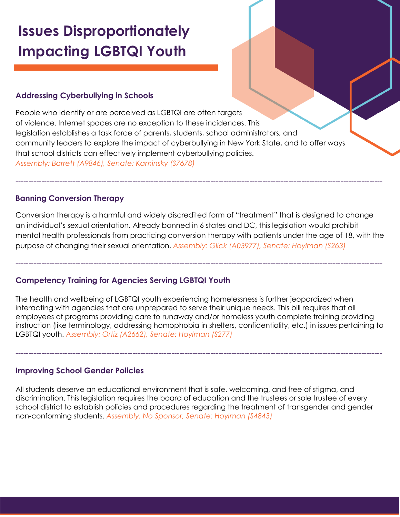## **Issues Disproportionately Impacting LGBTQI Youth**

#### **Addressing Cyberbullying in Schools**

People who identify or are perceived as LGBTQI are often targets of violence. Internet spaces are no exception to these incidences. This legislation establishes a task force of parents, students, school administrators, and community leaders to explore the impact of cyberbullying in New York State, and to offer ways that school districts can effectively implement cyberbullying policies. *Assembly: Barrett (A9846), Senate: Kaminsky (S7678)*

#### **Banning Conversion Therapy**

Conversion therapy is a harmful and widely discredited form of "treatment" that is designed to change an individual's sexual orientation. Already banned in 6 states and DC, this legislation would prohibit mental health professionals from practicing conversion therapy with patients under the age of 18, with the purpose of changing their sexual orientation. *Assembly: Glick (A03977), Senate: Hoylman (S263)*

---------------------------------------------------------------------------------------------------------------------------------------------

---------------------------------------------------------------------------------------------------------------------------------------------

#### **Competency Training for Agencies Serving LGBTQI Youth**

The health and wellbeing of LGBTQI youth experiencing homelessness is further jeopardized when interacting with agencies that are unprepared to serve their unique needs. This bill requires that all employees of programs providing care to runaway and/or homeless youth complete training providing instruction (like terminology, addressing homophobia in shelters, confidentiality, etc.) in issues pertaining to LGBTQI youth. *Assembly: Ortiz (A2662), Senate: Hoylman (S277)*

---------------------------------------------------------------------------------------------------------------------------------------------

#### **Improving School Gender Policies**

All students deserve an educational environment that is safe, welcoming, and free of stigma, and discrimination. This legislation requires the board of education and the trustees or sole trustee of every school district to establish policies and procedures regarding the treatment of transgender and gender non-conforming students. *Assembly: No Sponsor, Senate: Hoylman (S4843)*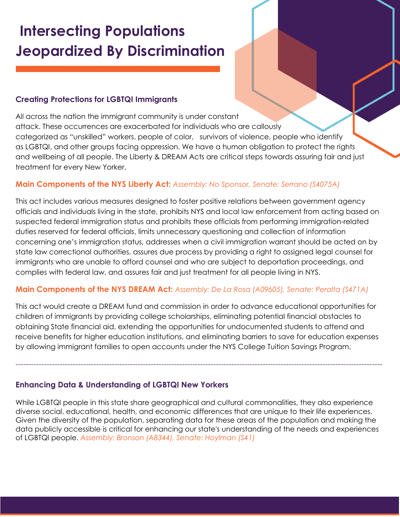## **Intersecting Populations Jeopardized By Discrimination**

#### **Creating Protections for LGBTQI Immigrants**

All across the nation the immigrant community is under constant attack. These occurrences are exacerbated for individuals who are callously categorized as "unskilled" workers, people of color, survivors of violence, people who identify as LGBTQI, and other groups facing oppression. We have a human obligation to protect the rights and wellbeing of all people. The Liberty & DREAM Acts are critical steps towards assuring fair and just treatment for every New Yorker.

#### **Main Components of the NYS Liberty Act:** *Assembly: No Sponsor, Senate: Serrano (S4075A)*

This act includes various measures designed to foster positive relations between government agency officials and individuals living in the state, prohibits NYS and local law enforcement from acting based on suspected federal immigration status and prohibits these officials from performing immigration-related duties reserved for federal officials, limits unnecessary questioning and collection of information concerning one's immigration status, addresses when a civil immigration warrant should be acted on by state law correctional authorities, assures due process by providing a right to assigned legal counsel for immigrants who are unable to afford counsel and who are subject to deportation proceedings, and complies with federal law, and assures fair and just treatment for all people living in NYS.

#### **Main Components of the NYS DREAM Act:** *Assembly: De La Rosa (A09605), Senate: Peralta (S471A)*

This act would create a DREAM fund and commission in order to advance educational opportunities for children of immigrants by providing college scholarships, eliminating potential financial obstacles to obtaining State financial aid, extending the opportunities for undocumented students to attend and receive benefits for higher education institutions, and eliminating barriers to save for education expenses by allowing immigrant families to open accounts under the NYS College Tuition Savings Program.

---------------------------------------------------------------------------------------------------------------------------------------------

#### **Enhancing Data & Understanding of LGBTQI New Yorkers**

While LGBTQI people in this state share geographical and cultural commonalities, they also experience diverse social, educational, health, and economic differences that are unique to their life experiences. Given the diversity of the population, separating data for these areas of the population and making the data publicly accessible is critical for enhancing our state's understanding of the needs and experiences of LGBTQI people. *Assembly: Bronson (A8344), Senate: Hoylman (S41)*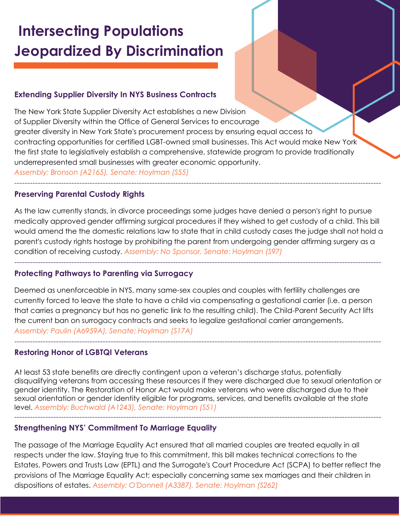## **Intersecting Populations Jeopardized By Discrimination**

#### **Extending Supplier Diversity In NYS Business Contracts**

The New York State Supplier Diversity Act establishes a new Division of Supplier Diversity within the Office of General Services to encourage greater diversity in New York State's procurement process by ensuring equal access to contracting opportunities for certified LGBT-owned small businesses. This Act would make New York the first state to legislatively establish a comprehensive, statewide program to provide traditionally underrepresented small businesses with greater economic opportunity. *Assembly: Bronson (A2165), Senate: Hoylman (S55)*

#### **Preserving Parental Custody Rights**

As the law currently stands, in divorce proceedings some judges have denied a person's right to pursue medically approved gender affirming surgical procedures if they wished to get custody of a child. This bill would amend the the domestic relations law to state that in child custody cases the judge shall not hold a parent's custody rights hostage by prohibiting the parent from undergoing gender affirming surgery as a condition of receiving custody. *Assembly: No Sponsor, Senate: Hoylman (S97)*

---------------------------------------------------------------------------------------------------------------------------------------------

---------------------------------------------------------------------------------------------------------------------------------------------

#### **Protecting Pathways to Parenting via Surrogacy**

Deemed as unenforceable in NYS, many same-sex couples and couples with fertility challenges are currently forced to leave the state to have a child via compensating a gestational carrier (i.e. a person that carries a pregnancy but has no genetic link to the resulting child). The Child-Parent Security Act lifts the current ban on surrogacy contracts and seeks to legalize gestational carrier arrangements. *Assembly: Paulin (A6959A), Senate: Hoylman (S17A)*

---------------------------------------------------------------------------------------------------------------------------------------------

#### **Restoring Honor of LGBTQI Veterans**

At least 53 state benefits are directly contingent upon a veteran's discharge status, potentially disqualifying veterans from accessing these resources if they were discharged due to sexual orientation or gender identity. The Restoration of Honor Act would make veterans who were discharged due to their sexual orientation or gender identity eligible for programs, services, and benefits available at the state level. *Assembly: Buchwald (A1243), Senate: Hoylman (S51)*

---------------------------------------------------------------------------------------------------------------------------------------------

#### **Strengthening NYS' Commitment To Marriage Equality**

The passage of the Marriage Equality Act ensured that all married couples are treated equally in all respects under the law. Staying true to this commitment, this bill makes technical corrections to the Estates, Powers and Trusts Law (EPTL) and the Surrogate's Court Procedure Act (SCPA) to better reflect the provisions of The Marriage Equality Act; especially concerning same sex marriages and their children in dispositions of estates. *Assembly: O'Donnell (A3387), Senate: Hoylman (S262)*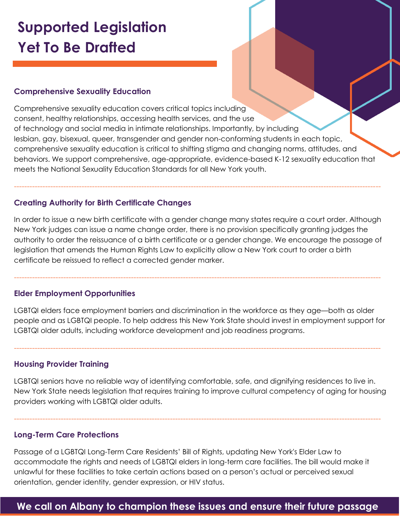### **Supported Legislation Yet To Be Drafted**

#### **Comprehensive Sexuality Education**

Comprehensive sexuality education covers critical topics including consent, healthy relationships, accessing health services, and the use of technology and social media in intimate relationships. Importantly, by including lesbian, gay, bisexual, queer, transgender and gender non-conforming students in each topic, comprehensive sexuality education is critical to shifting stigma and changing norms, attitudes, and behaviors. We support comprehensive, age-appropriate, evidence-based K-12 sexuality education that meets the National Sexuality Education Standards for all New York youth.

---------------------------------------------------------------------------------------------------------------------------------------------

#### **Creating Authority for Birth Certificate Changes**

In order to issue a new birth certificate with a gender change many states require a court order. Although New York judges can issue a name change order, there is no provision specifically granting judges the authority to order the reissuance of a birth certificate or a gender change. We encourage the passage of legislation that amends the Human Rights Law to explicitly allow a New York court to order a birth certificate be reissued to reflect a corrected gender marker.

---------------------------------------------------------------------------------------------------------------------------------------------

#### **Elder Employment Opportunities**

LGBTQI elders face employment barriers and discrimination in the workforce as they age—both as older people and as LGBTQI people. To help address this New York State should invest in employment support for LGBTQI older adults, including workforce development and job readiness programs.

---------------------------------------------------------------------------------------------------------------------------------------------

#### **Housing Provider Training**

LGBTQI seniors have no reliable way of identifying comfortable, safe, and dignifying residences to live in. New York State needs legislation that requires training to improve cultural competency of aging for housing providers working with LGBTQI older adults.

---------------------------------------------------------------------------------------------------------------------------------------------

#### **Long-Term Care Protections**

Passage of a LGBTQI Long-Term Care Residents' Bill of Rights, updating New York's Elder Law to accommodate the rights and needs of LGBTQI elders in long-term care facilities. The bill would make it unlawful for these facilities to take certain actions based on a person's actual or perceived sexual orientation, gender identity, gender expression, or HIV status.

### **We call on Albany to champion these issues and ensure their future passage**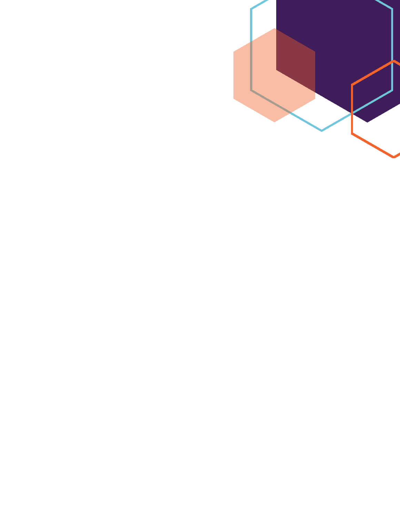